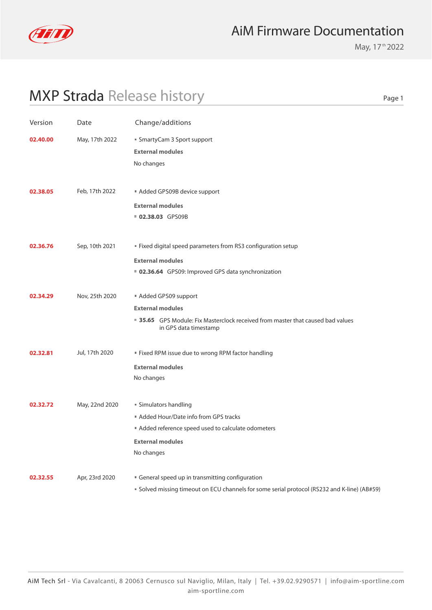

May, 17<sup>th</sup> 2022

Page 1

| Version  | Date           | Change/additions                                                                                                                                            |  |
|----------|----------------|-------------------------------------------------------------------------------------------------------------------------------------------------------------|--|
| 02.40.00 | May, 17th 2022 | ■ SmartyCam 3 Sport support<br><b>External modules</b><br>No changes                                                                                        |  |
| 02.38.05 | Feb, 17th 2022 | Added GPS09B device support<br><b>External modules</b><br>02.38.03 GPS09B                                                                                   |  |
| 02.36.76 | Sep, 10th 2021 | " Fixed digital speed parameters from RS3 configuration setup<br><b>External modules</b><br>02.36.64 GPS09: Improved GPS data synchronization               |  |
| 02.34.29 | Nov, 25th 2020 | Added GPS09 support<br><b>External modules</b><br>35.65 GPS Module: Fix Masterclock received from master that caused bad values<br>in GPS data timestamp    |  |
| 02.32.81 | Jul, 17th 2020 | " Fixed RPM issue due to wrong RPM factor handling<br><b>External modules</b><br>No changes                                                                 |  |
| 02.32.72 | May, 22nd 2020 | ■ Simulators handling<br>Added Hour/Date info from GPS tracks<br>Added reference speed used to calculate odometers<br><b>External modules</b><br>No changes |  |
| 02.32.55 | Apr, 23rd 2020 | General speed up in transmitting configuration<br>■ Solved missing timeout on ECU channels for some serial protocol (RS232 and K-line) (AB#59)              |  |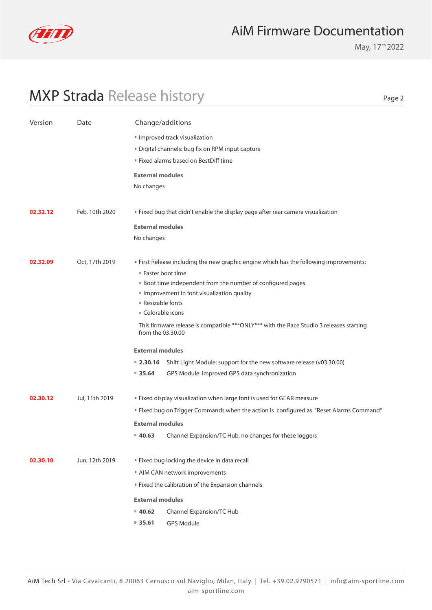

May, 17<sup>th</sup> 2022

Page 2

| Version  | Change/additions<br>Date |                                                                                                               |                                                                                        |  |  |
|----------|--------------------------|---------------------------------------------------------------------------------------------------------------|----------------------------------------------------------------------------------------|--|--|
|          |                          | Improved track visualization                                                                                  |                                                                                        |  |  |
|          |                          | Digital channels: bug fix on RPM input capture                                                                |                                                                                        |  |  |
|          |                          | " Fixed alarms based on BestDiff time                                                                         |                                                                                        |  |  |
|          |                          | <b>External modules</b>                                                                                       |                                                                                        |  |  |
|          |                          | No changes                                                                                                    |                                                                                        |  |  |
|          |                          |                                                                                                               |                                                                                        |  |  |
| 02.32.12 | Feb, 10th 2020           |                                                                                                               | " Fixed bug that didn't enable the display page after rear camera visualization        |  |  |
|          |                          | <b>External modules</b>                                                                                       |                                                                                        |  |  |
|          |                          | No changes                                                                                                    |                                                                                        |  |  |
|          |                          |                                                                                                               |                                                                                        |  |  |
| 02.32.09 | Oct, 17th 2019           |                                                                                                               | " First Release including the new graphic engine which has the following improvements: |  |  |
|          |                          | ■ Faster boot time                                                                                            |                                                                                        |  |  |
|          |                          | <b>Boot time independent from the number of configured pages</b>                                              |                                                                                        |  |  |
|          |                          | Improvement in font visualization quality<br>■ Resizable fonts                                                |                                                                                        |  |  |
|          |                          | Colorable icons                                                                                               |                                                                                        |  |  |
|          |                          | This firmware release is compatible *** ONLY*** with the Race Studio 3 releases starting<br>from the 03.30.00 |                                                                                        |  |  |
|          |                          | <b>External modules</b>                                                                                       |                                                                                        |  |  |
|          |                          | $= 2.30.16$                                                                                                   | Shift Light Module: support for the new software release (v03.30.00)                   |  |  |
|          |                          | 935.64                                                                                                        | GPS Module: improved GPS data synchronization                                          |  |  |
|          |                          |                                                                                                               |                                                                                        |  |  |
| 02.30.12 | Jul, 11th 2019           |                                                                                                               | " Fixed display visualization when large font is used for GEAR measure                 |  |  |
|          |                          | " Fixed bug on Trigger Commands when the action is configured as "Reset Alarms Command"                       |                                                                                        |  |  |
|          |                          | <b>External modules</b>                                                                                       |                                                                                        |  |  |
|          |                          | $= 40.63$                                                                                                     | Channel Expansion/TC Hub: no changes for these loggers                                 |  |  |
| 02.30.10 | Jun, 12th 2019           |                                                                                                               | " Fixed bug locking the device in data recall                                          |  |  |
|          |                          | AIM CAN network improvements                                                                                  |                                                                                        |  |  |
|          |                          |                                                                                                               | " Fixed the calibration of the Expansion channels                                      |  |  |
|          |                          | <b>External modules</b>                                                                                       |                                                                                        |  |  |
|          |                          | $= 40.62$                                                                                                     | Channel Expansion/TC Hub                                                               |  |  |
|          |                          | $= 35.61$                                                                                                     | <b>GPS Module</b>                                                                      |  |  |
|          |                          |                                                                                                               |                                                                                        |  |  |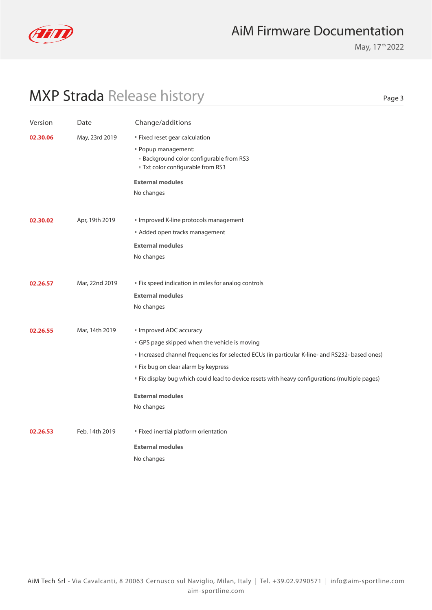

May, 17<sup>th</sup> 2022

Page 3

| Version  | Date           | Change/additions                                                                                                                                                                                                                                                                                                                                         |
|----------|----------------|----------------------------------------------------------------------------------------------------------------------------------------------------------------------------------------------------------------------------------------------------------------------------------------------------------------------------------------------------------|
| 02.30.06 | May, 23rd 2019 | " Fixed reset gear calculation<br>" Popup management:<br><b>Background color configurable from RS3</b><br>Txt color configurable from RS3<br><b>External modules</b><br>No changes                                                                                                                                                                       |
| 02.30.02 | Apr, 19th 2019 | Improved K-line protocols management<br>Added open tracks management<br><b>External modules</b><br>No changes                                                                                                                                                                                                                                            |
| 02.26.57 | Mar, 22nd 2019 | " Fix speed indication in miles for analog controls<br><b>External modules</b><br>No changes                                                                                                                                                                                                                                                             |
| 02.26.55 | Mar, 14th 2019 | Improved ADC accuracy<br>GPS page skipped when the vehicle is moving<br>Increased channel frequencies for selected ECUs (in particular K-line- and RS232- based ones)<br>" Fix bug on clear alarm by keypress<br>" Fix display bug which could lead to device resets with heavy configurations (multiple pages)<br><b>External modules</b><br>No changes |
| 02.26.53 | Feb, 14th 2019 | " Fixed inertial platform orientation<br><b>External modules</b><br>No changes                                                                                                                                                                                                                                                                           |